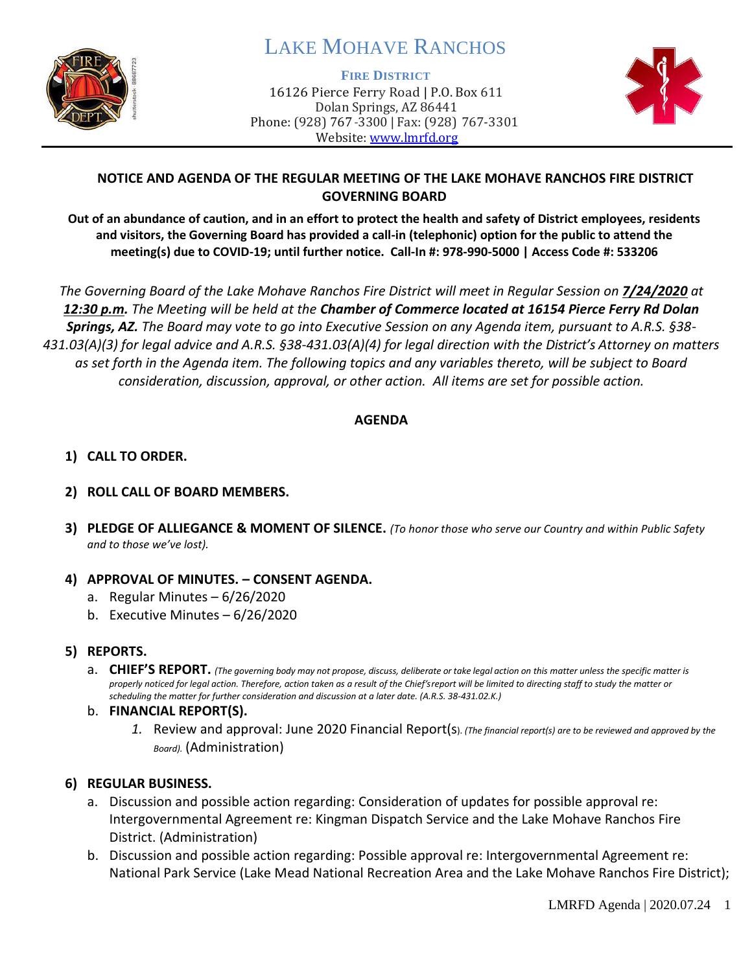

# LAKE MOHAVE RANCHOS

#### **FIRE DISTRICT**

16126 Pierce Ferry Road | P.O. Box 611 Dolan Springs, AZ 86441 Phone: (928) 767-3300 | Fax: (928) 767-3301 Website: [www.lmrfd.org](http://www.lmrfd.org/)



# **NOTICE AND AGENDA OF THE REGULAR MEETING OF THE LAKE MOHAVE RANCHOS FIRE DISTRICT GOVERNING BOARD**

**Out of an abundance of caution, and in an effort to protect the health and safety of District employees, residents and visitors, the Governing Board has provided a call-in (telephonic) option for the public to attend the meeting(s) due to COVID-19; until further notice. Call-In #: 978-990-5000 | Access Code #: 533206**

*The Governing Board of the Lake Mohave Ranchos Fire District will meet in Regular Session on 7/24/2020 at 12:30 p.m. The Meeting will be held at the Chamber of Commerce located at 16154 Pierce Ferry Rd Dolan Springs, AZ. The Board may vote to go into Executive Session on any Agenda item, pursuant to A.R.S. §38- 431.03(A)(3) for legal advice and A.R.S. §38-431.03(A)(4) for legal direction with the District's Attorney on matters as set forth in the Agenda item. The following topics and any variables thereto, will be subject to Board consideration, discussion, approval, or other action. All items are set for possible action.* 

### **AGENDA**

# **1) CALL TO ORDER.**

## **2) ROLL CALL OF BOARD MEMBERS.**

**3) PLEDGE OF ALLIEGANCE & MOMENT OF SILENCE.** *(To honor those who serve our Country and within Public Safety and to those we've lost).*

### **4) APPROVAL OF MINUTES. – CONSENT AGENDA.**

- a. Regular Minutes 6/26/2020
- b. Executive Minutes 6/26/2020

### **5) REPORTS.**

a. CHIEF'S REPORT. (The governing body may not propose, discuss, deliberate or take legal action on this matter unless the specific matter is *properly noticed for legal action. Therefore, action taken as a result of the Chief's report will be limited to directing staff to study the matter or scheduling the matter for further consideration and discussion at a later date. (A.R.S. 38-431.02.K.)*

### b. **FINANCIAL REPORT(S).**

*1.* Review and approval: June 2020 Financial Report(s). *(The financial report(s) are to be reviewed and approved by the Board).* (Administration)

# **6) REGULAR BUSINESS.**

- a. Discussion and possible action regarding: Consideration of updates for possible approval re: Intergovernmental Agreement re: Kingman Dispatch Service and the Lake Mohave Ranchos Fire District. (Administration)
- b. Discussion and possible action regarding: Possible approval re: Intergovernmental Agreement re: National Park Service (Lake Mead National Recreation Area and the Lake Mohave Ranchos Fire District);